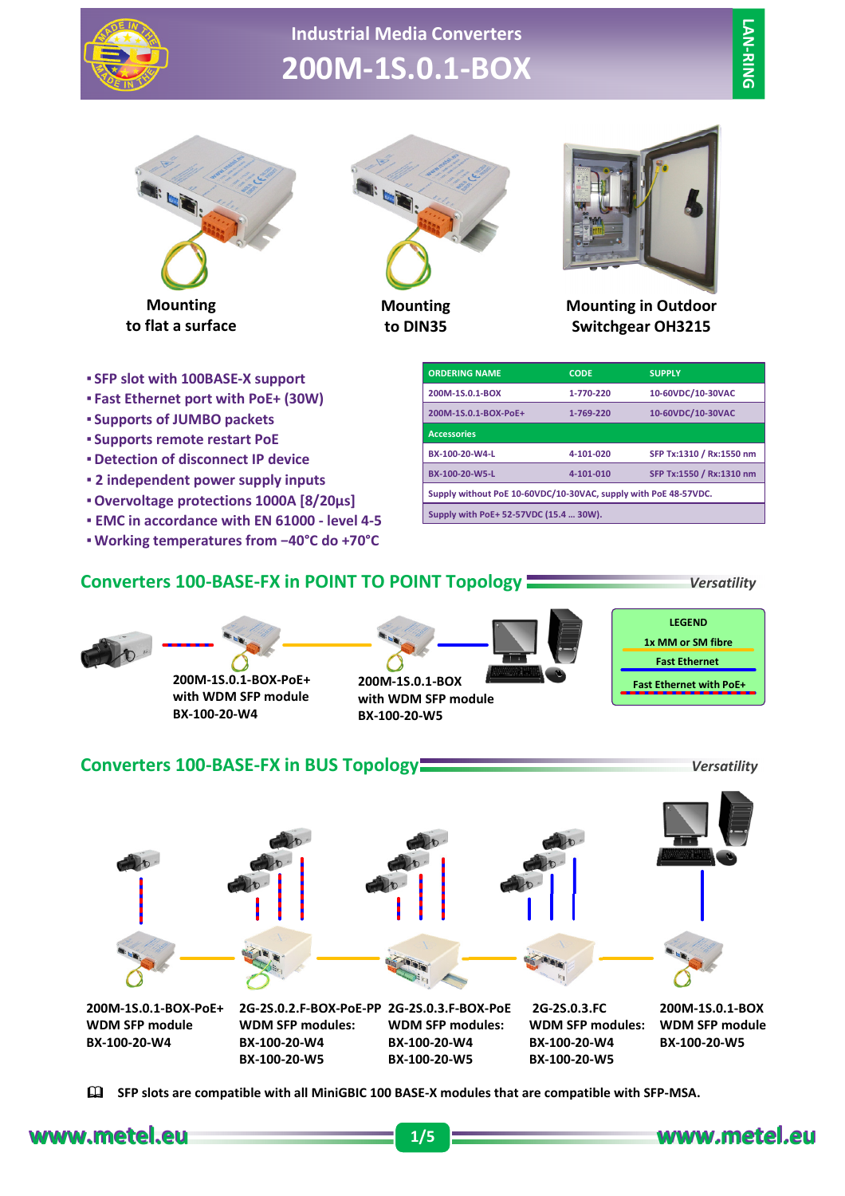

# **Industrial Media Converters 200M-1S.0.1-BOX**



**to flat a surface**



**Mounting to DIN35**



**Mounting in Outdoor Switchgear OH3215**

- **SFP slot with 100BASE-X support**
- **Fast Ethernet port with PoE+ (30W)**
- **Supports of JUMBO packets**
- **Supports remote restart PoE**
- **Detection of disconnect IP device**
- **2 independent power supply inputs**
- **Overvoltage protections 1000A [8/20µs]**
- **EMC in accordance with EN 61000 level 4-5**
- **Working temperatures from −40°C do +70°C**

| <b>ORDERING NAME</b>                                            | <b>CODE</b> | <b>SUPPLY</b>            |  |  |  |
|-----------------------------------------------------------------|-------------|--------------------------|--|--|--|
| 200M-1S.0.1-BOX                                                 | 1-770-220   | 10-60VDC/10-30VAC        |  |  |  |
| 200M-1S.0.1-BOX-PoE+                                            | 1-769-220   | 10-60VDC/10-30VAC        |  |  |  |
| <b>Accessories</b>                                              |             |                          |  |  |  |
| BX-100-20-W4-L                                                  | 4-101-020   | SFP Tx:1310 / Rx:1550 nm |  |  |  |
| BX-100-20-W5-L                                                  | 4-101-010   | SFP Tx:1550 / Rx:1310 nm |  |  |  |
| Supply without PoE 10-60VDC/10-30VAC, supply with PoE 48-57VDC. |             |                          |  |  |  |
| Supply with PoE+ 52-57VDC (15.4  30W).                          |             |                          |  |  |  |

| Converters 100-BASE-FX in POINT TO POINT Topology |  |  |  | <b>Versatility</b> |
|---------------------------------------------------|--|--|--|--------------------|
|                                                   |  |  |  | <b>LEGEND</b>      |

**1x MM or SM fibre 200M-1S.0.1-BOX-PoE+ with WDM SFP module 200M-1S.0.1-BOX with WDM SFP module Fast Ethernet with PoE+**

## **BX-100-20-W4 BX-100-20-W5**

#### **Converters 100-BASE-FX in BUS Topology** *Versatility*

**Fast Ethernet**



& **SFP slots are compatible with all MiniGBIC 100 BASE-X modules that are compatible with SFP-MSA.** 

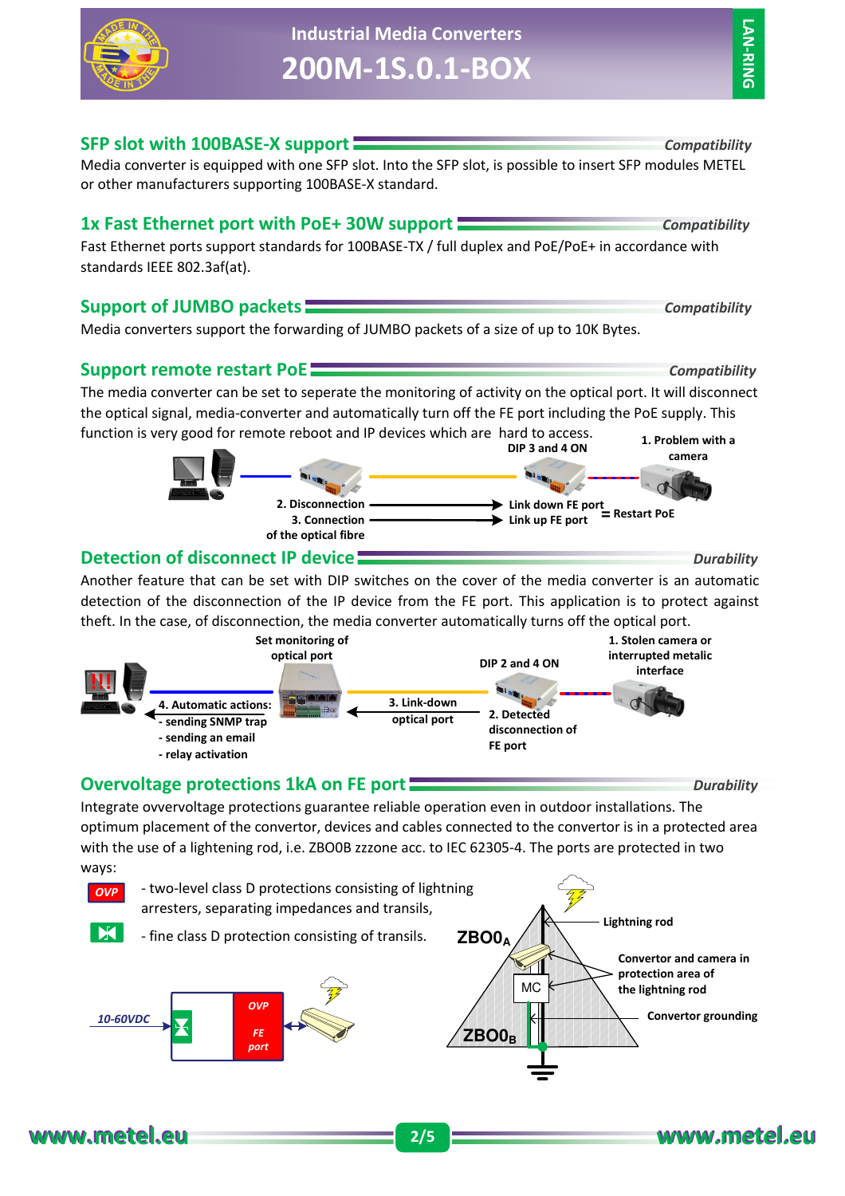# **Industrial Media Converters 200M-1S.0.1-BOX**

**LAN-RING LAN-RING**

#### **SFP slot with 100BASE-X support** *Compatibility*

Media converter is equipped with one SFP slot. Into the SFP slot, is possible to insert SFP modules METEL or other manufacturers supporting 100BASE-X standard.

## **1x Fast Ethernet port with PoE+ 30W support** *Compatibility*

Fast Ethernet ports support standards for 100BASE-TX / full duplex and PoE/PoE+ in accordance with standards IEEE 802.3af(at).

## **Support of JUMBO packets** *Compatibility*

Media converters support the forwarding of JUMBO packets of a size of up to 10K Bytes.

#### **Support remote restart PoE** *Compatibility*

The media converter can be set to seperate the monitoring of activity on the optical port. It will disconnect the optical signal, media-converter and automatically turn off the FE port including the PoE supply. This function is very good for remote reboot and IP devices which are hard to access. **1. Problem with a DIP 3 and 4 ON**

#### **2. Disconnection 3. Connection of the optical fibre Link down FE port Link up FE port = Restart PoE**

## **Detection of disconnect IP device** *Device Durability Durability*

Another feature that can be set with DIP switches on the cover of the media converter is an automatic detection of the disconnection of the IP device from the FE port. This application is to protect against theft. In the case, of disconnection, the media converter automatically turns off the optical port.



## **Overvoltage protections 1kA on FE port** *Durability*

Integrate ovvervoltage protections guarantee reliable operation even in outdoor installations. The optimum placement of the convertor, devices and cables connected to the convertor is in a protected area with the use of a lightening rod, i.e. ZBO0B zzzone acc. to IEC 62305-4. The ports are protected in two ways:





**camera**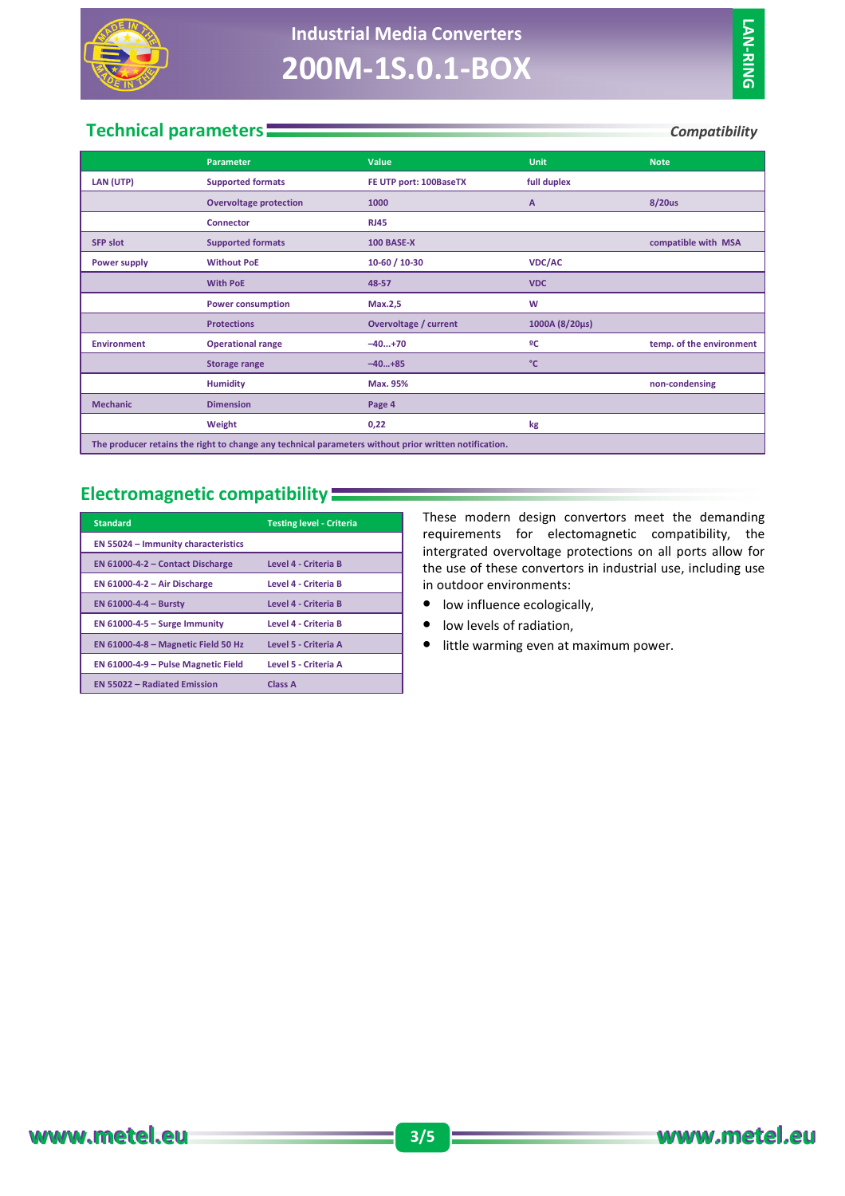

## **Technical parameters** *Compatibility*

|                                                                                                       | <b>Parameter</b>              | Value                  | <b>Unit</b>    | <b>Note</b>              |  |
|-------------------------------------------------------------------------------------------------------|-------------------------------|------------------------|----------------|--------------------------|--|
| LAN (UTP)                                                                                             | <b>Supported formats</b>      | FE UTP port: 100BaseTX | full duplex    |                          |  |
|                                                                                                       | <b>Overvoltage protection</b> | 1000                   | A              | 8/20us                   |  |
|                                                                                                       | <b>Connector</b>              | <b>RJ45</b>            |                |                          |  |
| <b>SFP slot</b>                                                                                       | <b>Supported formats</b>      | <b>100 BASE-X</b>      |                | compatible with MSA      |  |
| Power supply                                                                                          | <b>Without PoE</b>            | 10-60 / 10-30          | <b>VDC/AC</b>  |                          |  |
|                                                                                                       | <b>With PoE</b>               | 48-57                  | <b>VDC</b>     |                          |  |
|                                                                                                       | <b>Power consumption</b>      | Max.2,5                | W              |                          |  |
|                                                                                                       | <b>Protections</b>            | Overvoltage / current  | 1000A (8/20µs) |                          |  |
| <b>Environment</b>                                                                                    | <b>Operational range</b>      | $-40+70$               | ºC             | temp. of the environment |  |
|                                                                                                       | <b>Storage range</b>          | $-40+85$               | °C             |                          |  |
|                                                                                                       | <b>Humidity</b>               | Max. 95%               |                | non-condensing           |  |
| <b>Mechanic</b>                                                                                       | <b>Dimension</b>              | Page 4                 |                |                          |  |
|                                                                                                       | Weight                        | 0,22                   | kg             |                          |  |
| The producer retains the right to change any technical parameters without prior written notification. |                               |                        |                |                          |  |

## **Electromagnetic compatibility**

| <b>Standard</b>                            | <b>Testing level - Criteria</b> |
|--------------------------------------------|---------------------------------|
| <b>EN 55024 - Immunity characteristics</b> |                                 |
| EN $61000 - 4 - 2$ - Contact Discharge     | Level 4 - Criteria B            |
| EN $61000 - 4 - 2 - Air Discharge$         | Level 4 - Criteria B            |
| <b>EN 61000-4-4 - Bursty</b>               | Level 4 - Criteria B            |
| EN $61000 - 4 - 5 -$ Surge Immunity        | Level 4 - Criteria B            |
| EN $61000 - 4 - 8 -$ Magnetic Field 50 Hz  | Level 5 - Criteria A            |
| EN 61000-4-9 – Pulse Magnetic Field        | Level 5 - Criteria A            |
| <b>EN 55022 - Radiated Emission</b>        | Class A                         |

These modern design convertors meet the demanding requirements for electomagnetic compatibility, the intergrated overvoltage protections on all ports allow for the use of these convertors in industrial use, including use in outdoor environments:

- low influence ecologically,
- low levels of radiation,
- little warming even at maximum power.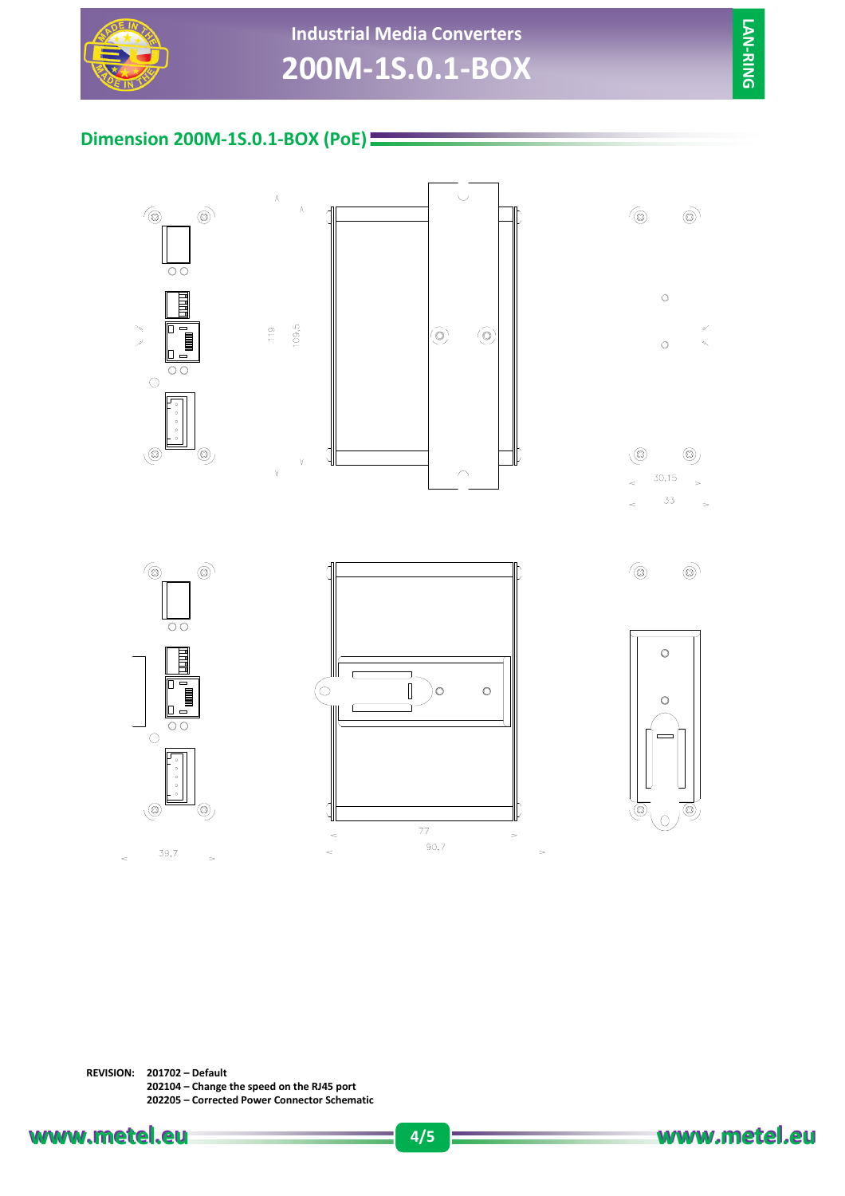

# **Industrial Media Converters 200M-1S.0.1-BOX**

## **Dimension 200M-1S.0.1-BOX (PoE)**

 $\Lambda$ 

 $\frac{9}{11}$ 

V











**REVISION: 201702 – Default 202104 – Change the speed on the RJ45 port 202205 – Corrected Power Connector Schematic**